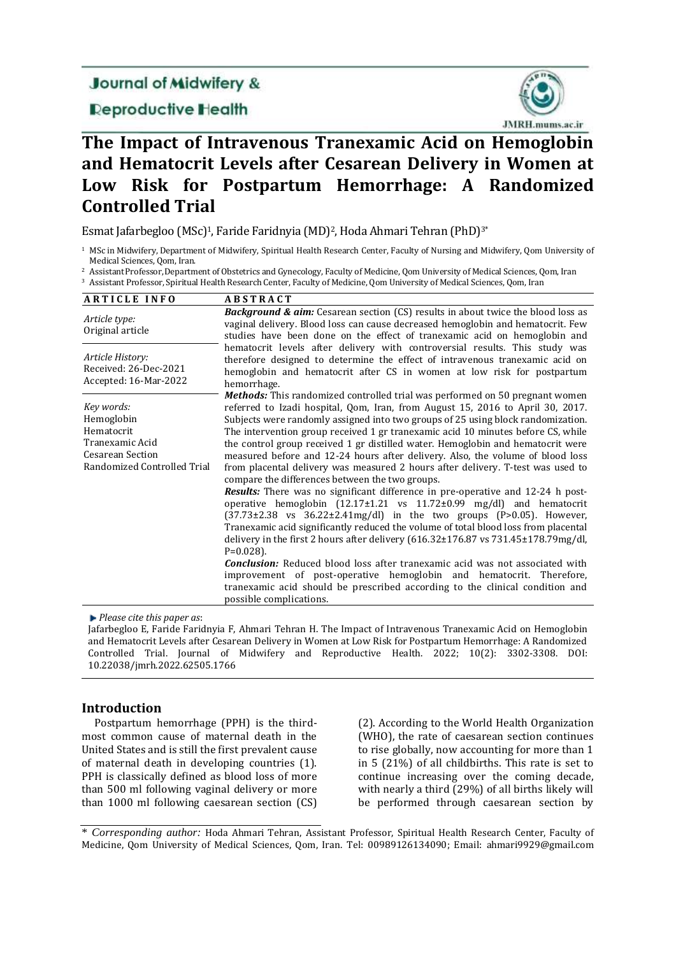## **Journal of Midwifery &**

**Deproductive Health** 



# **The Impact of Intravenous Tranexamic Acid on Hemoglobin and Hematocrit Levels after Cesarean Delivery in Women at Low Risk for Postpartum Hemorrhage: A Randomized Controlled Trial**

Esmat Jafarbegloo (MSc)1, Faride Faridnyia (MD)2, Hoda Ahmari Tehran (PhD)3\*

<sup>1</sup> MSc in Midwifery, Department of Midwifery, Spiritual Health Research Center, Faculty of Nursing and Midwifery, Qom University of Medical Sciences, Qom, Iran.

<sup>2</sup> Assistant Professor, Department of Obstetrics and Gynecology, Faculty of Medicine, Qom University of Medical Sciences, Qom, Iran <sup>3</sup> Assistant Professor, Spiritual Health Research Center, Faculty of Medicine, Qom University of Medical Sciences, Qom, Iran

| <b>ARTICLE INFO</b>                                                                                                 | <b>ABSTRACT</b>                                                                                                                                                                                                                                                                                                                                                                                                                                                                                                                                                                                                                                                                                                                                                                                                                                                                                                                                                                                                                                                                                                                                                                                                                                                                                                                                                                                                                          |
|---------------------------------------------------------------------------------------------------------------------|------------------------------------------------------------------------------------------------------------------------------------------------------------------------------------------------------------------------------------------------------------------------------------------------------------------------------------------------------------------------------------------------------------------------------------------------------------------------------------------------------------------------------------------------------------------------------------------------------------------------------------------------------------------------------------------------------------------------------------------------------------------------------------------------------------------------------------------------------------------------------------------------------------------------------------------------------------------------------------------------------------------------------------------------------------------------------------------------------------------------------------------------------------------------------------------------------------------------------------------------------------------------------------------------------------------------------------------------------------------------------------------------------------------------------------------|
| Article type:<br>Original article                                                                                   | <b>Background &amp; aim:</b> Cesarean section (CS) results in about twice the blood loss as<br>vaginal delivery. Blood loss can cause decreased hemoglobin and hematocrit. Few<br>studies have been done on the effect of tranexamic acid on hemoglobin and                                                                                                                                                                                                                                                                                                                                                                                                                                                                                                                                                                                                                                                                                                                                                                                                                                                                                                                                                                                                                                                                                                                                                                              |
| Article History:<br>Received: 26-Dec-2021<br>Accepted: 16-Mar-2022                                                  | hematocrit levels after delivery with controversial results. This study was<br>therefore designed to determine the effect of intravenous tranexamic acid on<br>hemoglobin and hematocrit after CS in women at low risk for postpartum<br>hemorrhage.                                                                                                                                                                                                                                                                                                                                                                                                                                                                                                                                                                                                                                                                                                                                                                                                                                                                                                                                                                                                                                                                                                                                                                                     |
| Key words:<br>Hemoglobin<br>Hematocrit<br>Tranexamic Acid<br><b>Cesarean Section</b><br>Randomized Controlled Trial | <b>Methods:</b> This randomized controlled trial was performed on 50 pregnant women<br>referred to Izadi hospital, Qom, Iran, from August 15, 2016 to April 30, 2017.<br>Subjects were randomly assigned into two groups of 25 using block randomization.<br>The intervention group received 1 gr tranexamic acid 10 minutes before CS, while<br>the control group received 1 gr distilled water. Hemoglobin and hematocrit were<br>measured before and 12-24 hours after delivery. Also, the volume of blood loss<br>from placental delivery was measured 2 hours after delivery. T-test was used to<br>compare the differences between the two groups.<br><b>Results:</b> There was no significant difference in pre-operative and 12-24 h post-<br>operative hemoglobin $(12.17\pm1.21 \text{ vs } 11.72\pm0.99 \text{ mg/dl})$ and hematocrit<br>$(37.73 \pm 2.38$ vs $36.22 \pm 2.41$ mg/dl) in the two groups (P>0.05). However,<br>Tranexamic acid significantly reduced the volume of total blood loss from placental<br>delivery in the first 2 hours after delivery $(616.32 \pm 176.87 \text{ vs } 731.45 \pm 178.79 \text{ mg/dl})$<br>$P=0.028$ ).<br><b>Conclusion:</b> Reduced blood loss after tranexamic acid was not associated with<br>improvement of post-operative hemoglobin and hematocrit. Therefore,<br>tranexamic acid should be prescribed according to the clinical condition and<br>possible complications. |

*Please cite this paper as*:

Jafarbegloo E, Faride Faridnyia F, Ahmari Tehran H. The Impact of Intravenous Tranexamic Acid on Hemoglobin and Hematocrit Levels after Cesarean Delivery in Women at Low Risk for Postpartum Hemorrhage: A Randomized Controlled Trial. Journal of Midwifery and Reproductive Health. 2022; 10(2): 3302-3308. DOI: 10.22038/jmrh.2022.62505.1766

### **Introduction**

Postpartum hemorrhage (PPH) is the thirdmost common cause of maternal death in the United States and is still the first prevalent cause of maternal death in developing countries (1). PPH is classically defined as blood loss of more than 500 ml following vaginal delivery or more than 1000 ml following caesarean section (CS) (2). According to the World Health Organization (WHO), the rate of caesarean section continues to rise globally, now accounting for more than 1 in 5 (21%) of all childbirths. This rate is set to continue increasing over the coming decade, with nearly a third (29%) of all births likely will be performed through caesarean section by

\* *Corresponding author:* Hoda Ahmari Tehran, Assistant Professor, Spiritual Health Research Center, Faculty of Medicine, Qom University of Medical Sciences, Qom, Iran. Tel: 00989126134090; Email: ahmari9929@gmail.com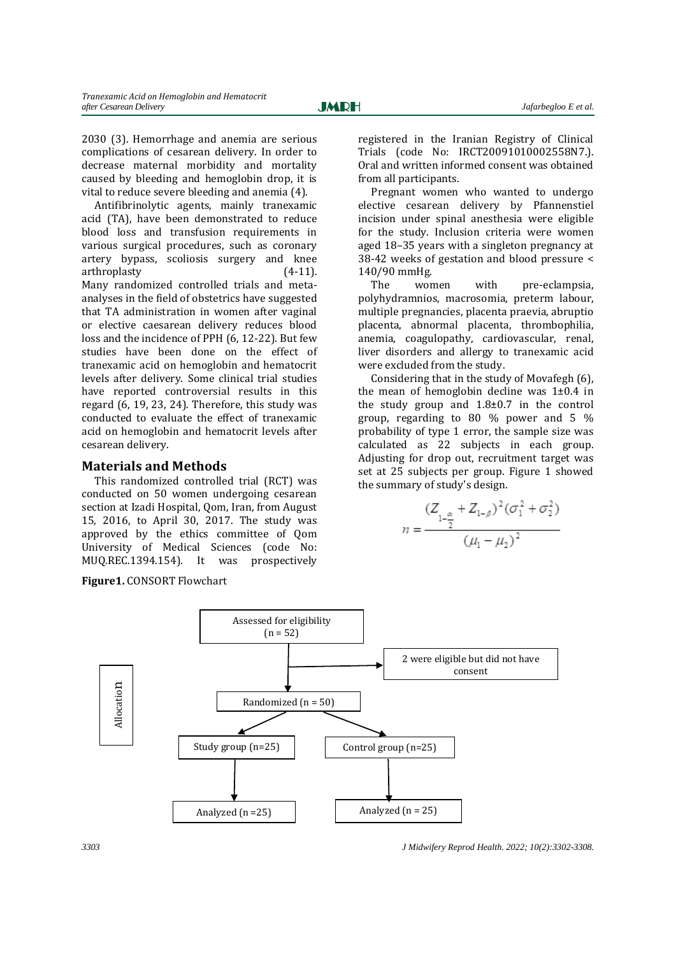2030 (3). Hemorrhage and anemia are serious complications of cesarean delivery. In order to decrease maternal morbidity and mortality caused by bleeding and hemoglobin drop, it is vital to reduce severe bleeding and anemia (4).

Antifibrinolytic agents, mainly tranexamic acid (TA), have been demonstrated to reduce blood loss and transfusion requirements in various surgical procedures, such as coronary artery bypass, scoliosis surgery and knee arthroplasty (4-11). Many randomized controlled trials and metaanalyses in the field of obstetrics have suggested that TA administration in women after vaginal or elective caesarean delivery reduces blood loss and the incidence of PPH (6, 12-22). But few studies have been done on the effect of tranexamic acid on hemoglobin and hematocrit levels after delivery. Some clinical trial studies have reported controversial results in this regard (6, 19, 23, 24). Therefore, this study was conducted to evaluate the effect of tranexamic acid on hemoglobin and hematocrit levels after cesarean delivery.

#### **Materials and Methods**

This randomized controlled trial (RCT) was conducted on 50 women undergoing cesarean section at Izadi Hospital, Qom, Iran, from August 15, 2016, to April 30, 2017. The study was approved by the ethics committee of Qom University of Medical Sciences (code No: MUQ.REC.1394.154). It was prospectively

**Figure1.** CONSORT Flowchart

registered in the Iranian Registry of Clinical Trials (code No: IRCT20091010002558N7.). Oral and written informed consent was obtained from all participants.

Pregnant women who wanted to undergo elective cesarean delivery by Pfannenstiel incision under spinal anesthesia were eligible for the study. Inclusion criteria were women aged 18–35 years with a singleton pregnancy at 38-42 weeks of gestation and blood pressure < 140/90 mmHg.

The women with pre-eclampsia, polyhydramnios, macrosomia, preterm labour, multiple pregnancies, placenta praevia, abruptio placenta, abnormal placenta, thrombophilia, anemia, coagulopathy, cardiovascular, renal, liver disorders and allergy to tranexamic acid were excluded from the study.

Considering that in the study of Movafegh (6), the mean of hemoglobin decline was  $1\pm0.4$  in the study group and  $1.8\pm0.7$  in the control group, regarding to 80 % power and 5 % probability of type 1 error, the sample size was calculated as 22 subjects in each group. Adjusting for drop out, recruitment target was set at 25 subjects per group. Figure 1 showed the summary of study's design.

$$
n = \frac{(Z_{1-\frac{\alpha}{2}} + Z_{1-\beta})^2 (\sigma_1^2 + \sigma_2^2)}{(\mu_1 - \mu_2)^2}
$$



*3303 J Midwifery Reprod Health. 2022; 10(2):3302-3308.*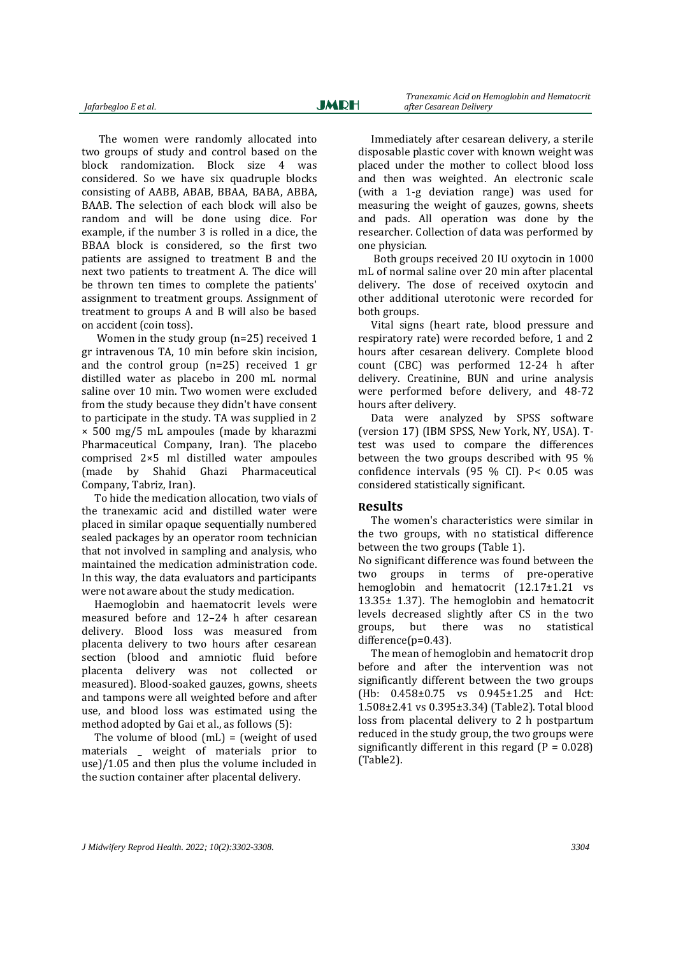**JMRH** 

 The women were randomly allocated into two groups of study and control based on the block randomization. Block size 4 was considered. So we have six quadruple blocks consisting of AABB, ABAB, BBAA, BABA, ABBA, BAAB. The selection of each block will also be random and will be done using dice. For example, if the number 3 is rolled in a dice, the BBAA block is considered, so the first two patients are assigned to treatment B and the next two patients to treatment A. The dice will be thrown ten times to complete the patients' assignment to treatment groups. Assignment of treatment to groups A and B will also be based on accident (coin toss).

Women in the study group (n=25) received 1 gr intravenous TA, 10 min before skin incision, and the control group (n=25) received 1 gr distilled water as placebo in 200 mL normal saline over 10 min. Two women were excluded from the study because they didn't have consent to participate in the study. TA was supplied in 2 × 500 mg/5 mL ampoules (made by kharazmi Pharmaceutical Company, Iran). The placebo comprised 2×5 ml distilled water ampoules (made by Shahid Ghazi Pharmaceutical Company, Tabriz, Iran).

To hide the medication allocation, two vials of the tranexamic acid and distilled water were placed in similar opaque sequentially numbered sealed packages by an operator room technician that not involved in sampling and analysis, who maintained the medication administration code. In this way, the data evaluators and participants were not aware about the study medication.

Haemoglobin and haematocrit levels were measured before and 12–24 h after cesarean delivery. Blood loss was measured from placenta delivery to two hours after cesarean section (blood and amniotic fluid before placenta delivery was not collected or measured). Blood-soaked gauzes, gowns, sheets and tampons were all weighted before and after use, and blood loss was estimated using the method adopted by Gai et al., as follows (5):

The volume of blood (mL) = (weight of used materials \_ weight of materials prior to use)/1.05 and then plus the volume included in the suction container after placental delivery.

Immediately after cesarean delivery, a sterile disposable plastic cover with known weight was placed under the mother to collect blood loss and then was weighted. An electronic scale (with a 1-g deviation range) was used for measuring the weight of gauzes, gowns, sheets and pads. All operation was done by the researcher. Collection of data was performed by one physician.

Both groups received 20 IU oxytocin in 1000 mL of normal saline over 20 min after placental delivery. The dose of received oxytocin and other additional uterotonic were recorded for both groups.

Vital signs (heart rate, blood pressure and respiratory rate) were recorded before, 1 and 2 hours after cesarean delivery. Complete blood count (CBC) was performed 12-24 h after delivery. Creatinine, BUN and urine analysis were performed before delivery, and 48-72 hours after delivery.

Data were analyzed by SPSS software (version 17) (IBM SPSS, New York, NY, USA). Ttest was used to compare the differences between the two groups described with 95 % confidence intervals (95 % CI). P< 0.05 was considered statistically significant.

#### **Results**

The women's characteristics were similar in the two groups, with no statistical difference between the two groups (Table 1).

No significant difference was found between the two groups in terms of pre-operative hemoglobin and hematocrit (12.17±1.21 vs 13.35± 1.37). The hemoglobin and hematocrit levels decreased slightly after CS in the two groups, but there was no statistical difference(p=0.43).

The mean of hemoglobin and hematocrit drop before and after the intervention was not significantly different between the two groups (Hb: 0.458±0.75 vs 0.945±1.25 and Hct: 1.508±2.41 vs 0.395±3.34) (Table2). Total blood loss from placental delivery to 2 h postpartum reduced in the study group, the two groups were significantly different in this regard  $(P = 0.028)$ (Table2).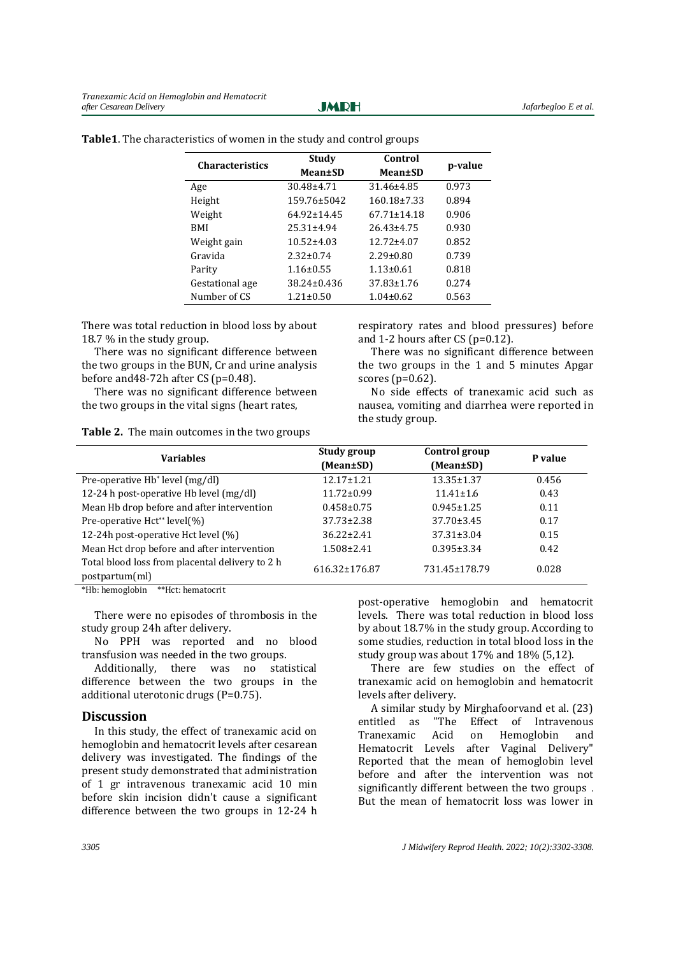**JMRH** 

| <b>Characteristics</b> | Study            | Control           | p-value |  |
|------------------------|------------------|-------------------|---------|--|
|                        | Mean±SD          | Mean±SD           |         |  |
| Age                    | 30.48±4.71       | 31.46±4.85        | 0.973   |  |
| Height                 | 159.76±5042      | $160.18 \pm 7.33$ | 0.894   |  |
| Weight                 | 64.92±14.45      | 67.71+14.18       | 0.906   |  |
| BMI                    | $25.31 \pm 4.94$ | $26.43 \pm 4.75$  | 0.930   |  |
| Weight gain            | $10.52 \pm 4.03$ | $12.72 + 4.07$    | 0.852   |  |
| Gravida                | $2.32 \pm 0.74$  | $2.29 \pm 0.80$   | 0.739   |  |
| Parity                 | $1.16 \pm 0.55$  | $1.13 \pm 0.61$   | 0.818   |  |
| Gestational age        | 38.24±0.436      | $37.83 \pm 1.76$  | 0.274   |  |
| Number of CS           | $1.21 \pm 0.50$  | $1.04 \pm 0.62$   | 0.563   |  |

#### **Table1**. The characteristics of women in the study and control groups

There was total reduction in blood loss by about 18.7 % in the study group.

There was no significant difference between the two groups in the BUN, Cr and urine analysis before and48-72h after CS (p=0.48).

There was no significant difference between the two groups in the vital signs (heart rates,

**Table 2.** The main outcomes in the two groups

respiratory rates and blood pressures) before and 1-2 hours after CS (p=0.12).

There was no significant difference between the two groups in the 1 and 5 minutes Apgar scores (p=0.62).

No side effects of tranexamic acid such as nausea, vomiting and diarrhea were reported in the study group.

| <b>Variables</b>                                | Study group      | Control group    | P value |  |
|-------------------------------------------------|------------------|------------------|---------|--|
|                                                 | (Mean±SD)        | (Mean±SD)        |         |  |
| Pre-operative Hb <sup>*</sup> level (mg/dl)     | $12.17 \pm 1.21$ | $13.35 \pm 1.37$ | 0.456   |  |
| 12-24 h post-operative Hb level (mg/dl)         | $11.72 \pm 0.99$ | $11.41 \pm 1.6$  | 0.43    |  |
| Mean Hb drop before and after intervention      | $0.458 \pm 0.75$ | $0.945 \pm 1.25$ | 0.11    |  |
| Pre-operative Hct** level(%)                    | $37.73 \pm 2.38$ | $37.70 \pm 3.45$ | 0.17    |  |
| 12-24h post-operative Hct level (%)             | $36.22 \pm 2.41$ | $37.31 \pm 3.04$ | 0.15    |  |
| Mean Hct drop before and after intervention     | $1.508 \pm 2.41$ | $0.395 \pm 3.34$ | 0.42    |  |
| Total blood loss from placental delivery to 2 h | 616.32±176.87    | 731.45±178.79    | 0.028   |  |
| postpartum(ml)                                  |                  |                  |         |  |

\*Hb: hemoglobin \*\*Hct: hematocrit

There were no episodes of thrombosis in the study group 24h after delivery.

No PPH was reported and no blood transfusion was needed in the two groups.

Additionally, there was no statistical difference between the two groups in the additional uterotonic drugs (P=0.75).

#### **Discussion**

In this study, the effect of tranexamic acid on hemoglobin and hematocrit levels after cesarean delivery was investigated. The findings of the present study demonstrated that administration of 1 gr intravenous tranexamic acid 10 min before skin incision didn't cause a significant difference between the two groups in 12-24 h

post-operative hemoglobin and hematocrit levels. There was total reduction in blood loss by about 18.7% in the study group. According to some studies, reduction in total blood loss in the study group was about 17% and 18% (5,12).

There are few studies on the effect of tranexamic acid on hemoglobin and hematocrit levels after delivery.

A similar study by Mirghafoorvand et al. (23) entitled as "The Effect of Intravenous Tranexamic Acid on Hemoglobin and Hematocrit Levels after Vaginal Delivery" Reported that the mean of hemoglobin level before and after the intervention was not significantly different between the two groups . But the mean of hematocrit loss was lower in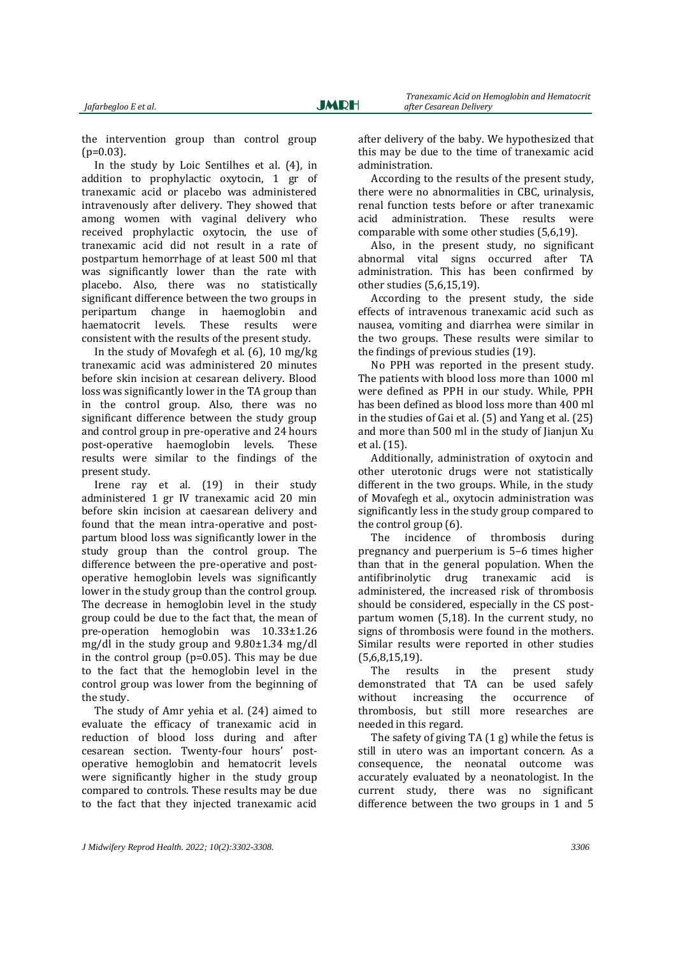the intervention group than control group  $(p=0.03)$ .

In the study by Loic Sentilhes et al. (4), in addition to prophylactic oxytocin, 1 gr of tranexamic acid or placebo was administered intravenously after delivery. They showed that among women with vaginal delivery who received prophylactic oxytocin, the use of tranexamic acid did not result in a rate of postpartum hemorrhage of at least 500 ml that was significantly lower than the rate with placebo. Also, there was no statistically significant difference between the two groups in peripartum change in haemoglobin and haematocrit levels. These results were consistent with the results of the present study.

In the study of Movafegh et al. (6), 10 mg/kg tranexamic acid was administered 20 minutes before skin incision at cesarean delivery. Blood loss was significantly lower in the TA group than in the control group. Also, there was no significant difference between the study group and control group in pre-operative and 24 hours post-operative haemoglobin levels. These results were similar to the findings of the present study.

Irene ray et al. (19) in their study administered 1 gr IV tranexamic acid 20 min before skin incision at caesarean delivery and found that the mean intra-operative and postpartum blood loss was significantly lower in the study group than the control group. The difference between the pre-operative and postoperative hemoglobin levels was significantly lower in the study group than the control group. The decrease in hemoglobin level in the study group could be due to the fact that, the mean of pre-operation hemoglobin was 10.33±1.26 mg/dl in the study group and 9.80±1.34 mg/dl in the control group (p=0.05). This may be due to the fact that the hemoglobin level in the control group was lower from the beginning of the study.

The study of Amr yehia et al. (24) aimed to evaluate the efficacy of tranexamic acid in reduction of blood loss during and after cesarean section. Twenty-four hours' postoperative hemoglobin and hematocrit levels were significantly higher in the study group compared to controls. These results may be due to the fact that they injected tranexamic acid after delivery of the baby. We hypothesized that this may be due to the time of tranexamic acid administration.

According to the results of the present study, there were no abnormalities in CBC, urinalysis, renal function tests before or after tranexamic acid administration. These results were comparable with some other studies (5,6,19).

Also, in the present study, no significant abnormal vital signs occurred after TA administration. This has been confirmed by other studies (5,6,15,19).

According to the present study, the side effects of intravenous tranexamic acid such as nausea, vomiting and diarrhea were similar in the two groups. These results were similar to the findings of previous studies (19).

No PPH was reported in the present study. The patients with blood loss more than 1000 ml were defined as PPH in our study. While, PPH has been defined as blood loss more than 400 ml in the studies of Gai et al. (5) and Yang et al. (25) and more than 500 ml in the study of Jianjun Xu et al. (15).

Additionally, administration of oxytocin and other uterotonic drugs were not statistically different in the two groups. While, in the study of Movafegh et al., oxytocin administration was significantly less in the study group compared to the control group (6).

The incidence of thrombosis during pregnancy and puerperium is 5–6 times higher than that in the general population. When the antifibrinolytic drug tranexamic acid is administered, the increased risk of thrombosis should be considered, especially in the CS postpartum women (5,18). In the current study, no signs of thrombosis were found in the mothers. Similar results were reported in other studies (5,6,8,15,19).

The results in the present study demonstrated that TA can be used safely without increasing the occurrence of thrombosis, but still more researches are needed in this regard.

The safety of giving TA (1 g) while the fetus is still in utero was an important concern. As a consequence, the neonatal outcome was accurately evaluated by a neonatologist. In the current study, there was no significant difference between the two groups in 1 and 5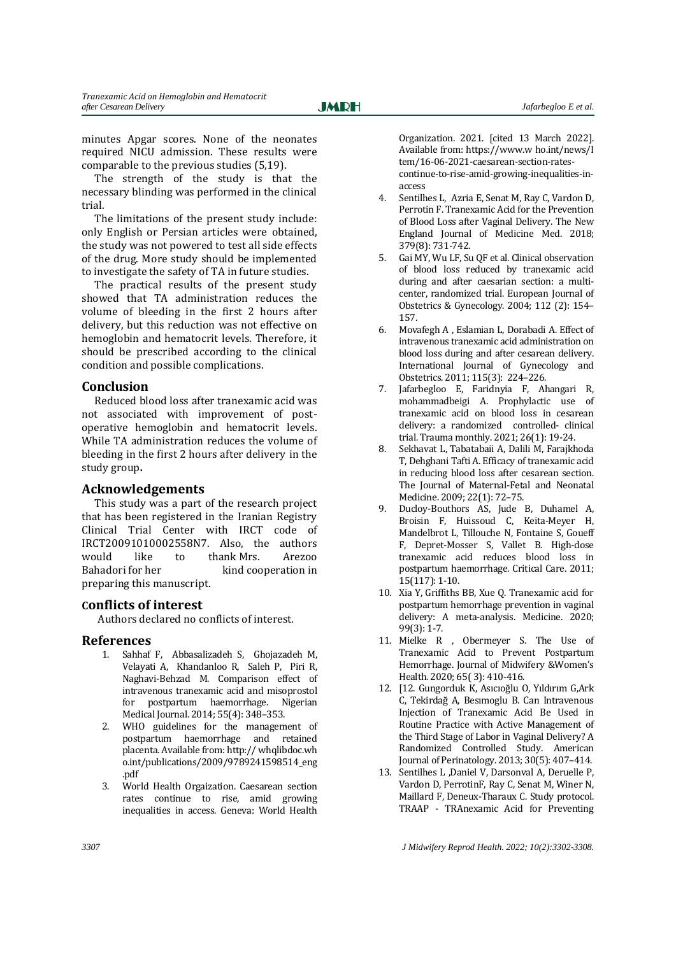minutes Apgar scores. None of the neonates required NICU admission. These results were comparable to the previous studies (5,19).

The strength of the study is that the necessary blinding was performed in the clinical trial.

The limitations of the present study include: only English or Persian articles were obtained, the study was not powered to test all side effects of the drug. More study should be implemented to investigate the safety of TA in future studies.

The practical results of the present study showed that TA administration reduces the volume of bleeding in the first 2 hours after delivery, but this reduction was not effective on hemoglobin and hematocrit levels. Therefore, it should be prescribed according to the clinical condition and possible complications.

#### **Conclusion**

Reduced blood loss after tranexamic acid was not associated with improvement of postoperative hemoglobin and hematocrit levels. While TA administration reduces the volume of bleeding in the first 2 hours after delivery in the study group**.**

#### **Acknowledgements**

This study was a part of the research project that has been registered in the Iranian Registry Clinical Trial Center with IRCT code of IRCT20091010002558N7. Also, the authors would like to thank Mrs. Arezoo Bahadori for her kind cooperation in preparing this manuscript.

#### **Conflicts of interest**

Authors declared no conflicts of interest.

#### **References**

- 1. [Sahhaf](https://www.ncbi.nlm.nih.gov/pubmed/?term=Sahhaf%20F%5BAuthor%5D&cauthor=true&cauthor_uid=25114373) F, [Abbasalizadeh](https://www.ncbi.nlm.nih.gov/pubmed/?term=Abbasalizadeh%20S%5BAuthor%5D&cauthor=true&cauthor_uid=25114373) S, [Ghojazadeh](https://www.ncbi.nlm.nih.gov/pubmed/?term=Ghojazadeh%20M%5BAuthor%5D&cauthor=true&cauthor_uid=25114373) M[,](https://www.ncbi.nlm.nih.gov/pubmed/?term=Velayati%20A%5BAuthor%5D&cauthor=true&cauthor_uid=25114373)  [Velayati](https://www.ncbi.nlm.nih.gov/pubmed/?term=Velayati%20A%5BAuthor%5D&cauthor=true&cauthor_uid=25114373) A, [Khandanloo](https://www.ncbi.nlm.nih.gov/pubmed/?term=Khandanloo%20R%5BAuthor%5D&cauthor=true&cauthor_uid=25114373) R, [Saleh](https://www.ncbi.nlm.nih.gov/pubmed/?term=Saleh%20P%5BAuthor%5D&cauthor=true&cauthor_uid=25114373) P, [Piri](https://www.ncbi.nlm.nih.gov/pubmed/?term=Piri%20R%5BAuthor%5D&cauthor=true&cauthor_uid=25114373) R[,](https://www.ncbi.nlm.nih.gov/pubmed/?term=Naghavi-Behzad%20M%5BAuthor%5D&cauthor=true&cauthor_uid=25114373)  [Naghavi-Behzad](https://www.ncbi.nlm.nih.gov/pubmed/?term=Naghavi-Behzad%20M%5BAuthor%5D&cauthor=true&cauthor_uid=25114373) M. Comparison effect of intravenous tranexamic acid and misoprostol for postpartum haemorrhage. Nigerian Medical Journal. 2014; 55(4): 348–353.
- 2. WHO guidelines for the management of postpartum haemorrhage and retained placenta. Available from: http:// whqlibdoc.wh o.int/publications/2009/9789241598514\_eng .pdf
- 3. World Health Orgaization. Caesarean section rates continue to rise, amid growing inequalities in access. Geneva: World Health

Organization. 2021. [cited 13 March 2022]. Available from: [https://www.w](https://www.w/) ho.int/news/I tem/16-06-2021-caesarean-section-ratescontinue-to-rise-amid-growing-inequalities-inaccess

- 4. Sentilhes L, Azria E, Senat M, Ray C, Vardon D, Perrotin F. Tranexamic Acid for the Prevention of Blood Loss after Vaginal Delivery. The New England Journal of Medicine Med. 2018; 379(8): 731-742.
- 5. Gai MY, Wu LF, Su QF et al. Clinical observation of blood loss reduced by tranexamic acid during and after caesarian section: a multicenter, randomized trial. European Journal of Obstetrics & Gynecology. 2004; 112 (2): 154– 157.
- 6. Movafegh A , Eslamian L, Dorabadi A. Effect of intravenous tranexamic acid administration on blood loss during and after cesarean delivery. International Journal of Gynecology and Obstetrics. 2011; 115(3): 224–226.
- 7. Jafarbegloo E, Faridnyia F, Ahangari R, mohammadbeigi A. Prophylactic use of tranexamic acid on blood loss in cesarean delivery: a randomized controlled- clinical trial. Trauma monthly. 2021; 26(1): 19-24.
- 8. Sekhavat L, Tabatabaii A, Dalili M, Farajkhoda T, Dehghani Tafti A. Efficacy of tranexamic acid in reducing blood loss after cesarean section. The Journal of Maternal-Fetal and Neonatal Medicine. 2009; 22(1): 72–75.
- 9. Ducloy-Bouthors AS, Jude B, Duhamel A, Broisin F, Huissoud C, Keita-Meyer H, Mandelbrot L, Tillouche N, Fontaine S, Goueff F, Depret-Mosser S, Vallet B. High-dose tranexamic acid reduces blood loss in postpartum haemorrhage. Critical Care. 2011; 15(117): 1-10.
- 10. Xia Y, Griffiths BB, Xue Q. Tranexamic acid for postpartum hemorrhage prevention in vaginal delivery: A meta-analysis. Medicine. 2020; 99(3): 1-7.
- 11. Mielke R , Obermeyer S. The Use of Tranexamic Acid to Prevent Postpartum Hemorrhage. Journal of Midwifery &Women's Health. 2020; 65( 3): 410-416.
- 12. [12. Gungorduk K, Asıcıoğlu O, Yıldırım G,Ark C, Tekirdağ A, Besımoglu B. Can Intravenous Injection of Tranexamic Acid Be Used in Routine Practice with Active Management of the Third Stage of Labor in Vaginal Delivery? A Randomized Controlled Study. American Journal of Perinatology. 2013; 30(5): 407–414.
- 13. Sentilhes L ,Daniel V, Darsonval A, Deruelle P, Vardon D, PerrotinF, Ray C, Senat M, Winer N, Maillard F, Deneux-Tharaux C. Study protocol. TRAAP - TRAnexamic Acid for Preventing

*3307 J Midwifery Reprod Health. 2022; 10(2):3302-3308.*